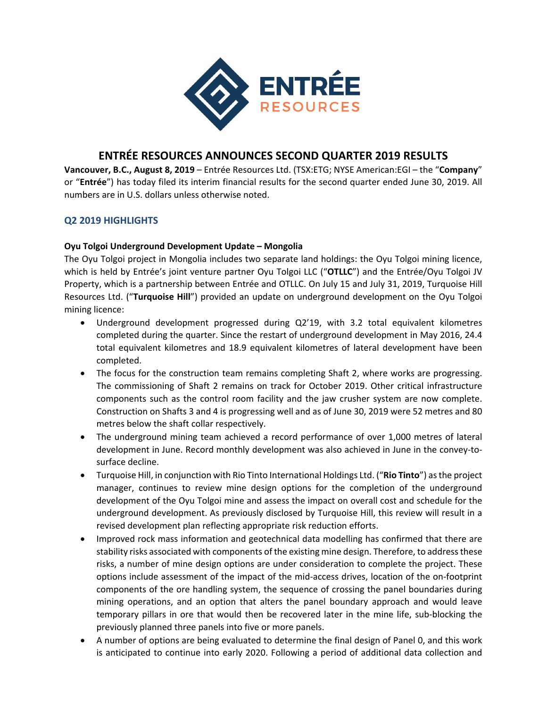

# **ENTRÉE RESOURCES ANNOUNCES SECOND QUARTER 2019 RESULTS**

**Vancouver, B.C., August 8, 2019** – Entrée Resources Ltd. (TSX:ETG; NYSE American:EGI – the "**Company**" or "**Entrée**") has today filed its interim financial results for the second quarter ended June 30, 2019. All numbers are in U.S. dollars unless otherwise noted.

## **Q2 2019 HIGHLIGHTS**

## **Oyu Tolgoi Underground Development Update – Mongolia**

The Oyu Tolgoi project in Mongolia includes two separate land holdings: the Oyu Tolgoi mining licence, which is held by Entrée's joint venture partner Oyu Tolgoi LLC ("**OTLLC**") and the Entrée/Oyu Tolgoi JV Property, which is a partnership between Entrée and OTLLC. On July 15 and July 31, 2019, Turquoise Hill Resources Ltd. ("**Turquoise Hill**") provided an update on underground development on the Oyu Tolgoi mining licence:

- Underground development progressed during Q2'19, with 3.2 total equivalent kilometres completed during the quarter. Since the restart of underground development in May 2016, 24.4 total equivalent kilometres and 18.9 equivalent kilometres of lateral development have been completed.
- The focus for the construction team remains completing Shaft 2, where works are progressing. The commissioning of Shaft 2 remains on track for October 2019. Other critical infrastructure components such as the control room facility and the jaw crusher system are now complete. Construction on Shafts 3 and 4 is progressing well and as of June 30, 2019 were 52 metres and 80 metres below the shaft collar respectively.
- The underground mining team achieved a record performance of over 1,000 metres of lateral development in June. Record monthly development was also achieved in June in the convey-tosurface decline.
- Turquoise Hill, in conjunction with Rio Tinto International Holdings Ltd. ("**Rio Tinto**") asthe project manager, continues to review mine design options for the completion of the underground development of the Oyu Tolgoi mine and assess the impact on overall cost and schedule for the underground development. As previously disclosed by Turquoise Hill, this review will result in a revised development plan reflecting appropriate risk reduction efforts.
- Improved rock mass information and geotechnical data modelling has confirmed that there are stability risks associated with components of the existing mine design. Therefore, to address these risks, a number of mine design options are under consideration to complete the project. These options include assessment of the impact of the mid‐access drives, location of the on‐footprint components of the ore handling system, the sequence of crossing the panel boundaries during mining operations, and an option that alters the panel boundary approach and would leave temporary pillars in ore that would then be recovered later in the mine life, sub‐blocking the previously planned three panels into five or more panels.
- A number of options are being evaluated to determine the final design of Panel 0, and this work is anticipated to continue into early 2020. Following a period of additional data collection and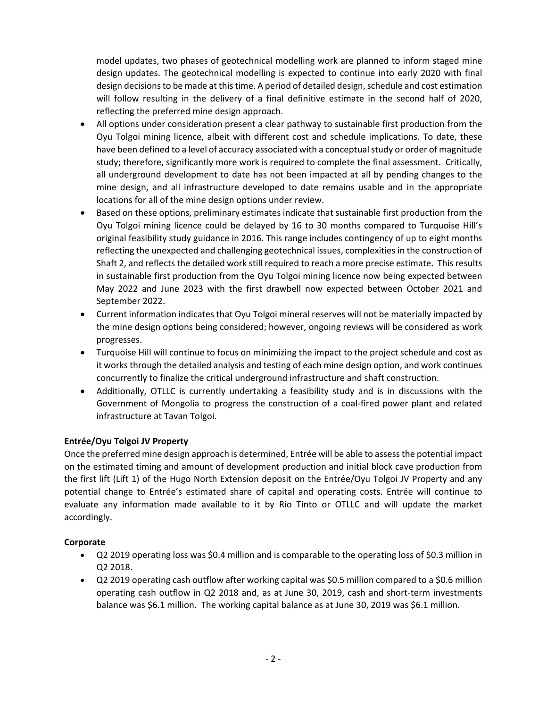model updates, two phases of geotechnical modelling work are planned to inform staged mine design updates. The geotechnical modelling is expected to continue into early 2020 with final design decisions to be made at this time. A period of detailed design, schedule and cost estimation will follow resulting in the delivery of a final definitive estimate in the second half of 2020, reflecting the preferred mine design approach.

- All options under consideration present a clear pathway to sustainable first production from the Oyu Tolgoi mining licence, albeit with different cost and schedule implications. To date, these have been defined to a level of accuracy associated with a conceptual study or order of magnitude study; therefore, significantly more work is required to complete the final assessment. Critically, all underground development to date has not been impacted at all by pending changes to the mine design, and all infrastructure developed to date remains usable and in the appropriate locations for all of the mine design options under review.
- Based on these options, preliminary estimates indicate that sustainable first production from the Oyu Tolgoi mining licence could be delayed by 16 to 30 months compared to Turquoise Hill's original feasibility study guidance in 2016. This range includes contingency of up to eight months reflecting the unexpected and challenging geotechnical issues, complexities in the construction of Shaft 2, and reflects the detailed work still required to reach a more precise estimate. This results in sustainable first production from the Oyu Tolgoi mining licence now being expected between May 2022 and June 2023 with the first drawbell now expected between October 2021 and September 2022.
- Current information indicates that Oyu Tolgoi mineral reserves will not be materially impacted by the mine design options being considered; however, ongoing reviews will be considered as work progresses.
- Turquoise Hill will continue to focus on minimizing the impact to the project schedule and cost as it works through the detailed analysis and testing of each mine design option, and work continues concurrently to finalize the critical underground infrastructure and shaft construction.
- Additionally, OTLLC is currently undertaking a feasibility study and is in discussions with the Government of Mongolia to progress the construction of a coal‐fired power plant and related infrastructure at Tavan Tolgoi.

## **Entrée/Oyu Tolgoi JV Property**

Once the preferred mine design approach is determined, Entrée will be able to assessthe potential impact on the estimated timing and amount of development production and initial block cave production from the first lift (Lift 1) of the Hugo North Extension deposit on the Entrée/Oyu Tolgoi JV Property and any potential change to Entrée's estimated share of capital and operating costs. Entrée will continue to evaluate any information made available to it by Rio Tinto or OTLLC and will update the market accordingly.

## **Corporate**

- Q2 2019 operating loss was \$0.4 million and is comparable to the operating loss of \$0.3 million in Q2 2018.
- Q2 2019 operating cash outflow after working capital was \$0.5 million compared to a \$0.6 million operating cash outflow in Q2 2018 and, as at June 30, 2019, cash and short-term investments balance was \$6.1 million. The working capital balance as at June 30, 2019 was \$6.1 million.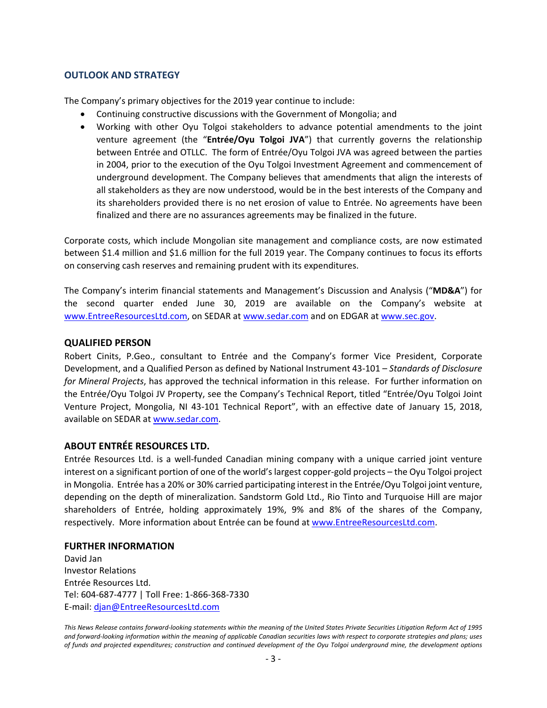#### **OUTLOOK AND STRATEGY**

The Company's primary objectives for the 2019 year continue to include:

- Continuing constructive discussions with the Government of Mongolia; and
- Working with other Oyu Tolgoi stakeholders to advance potential amendments to the joint venture agreement (the "**Entrée/Oyu Tolgoi JVA**") that currently governs the relationship between Entrée and OTLLC. The form of Entrée/Oyu Tolgoi JVA was agreed between the parties in 2004, prior to the execution of the Oyu Tolgoi Investment Agreement and commencement of underground development. The Company believes that amendments that align the interests of all stakeholders as they are now understood, would be in the best interests of the Company and its shareholders provided there is no net erosion of value to Entrée. No agreements have been finalized and there are no assurances agreements may be finalized in the future.

Corporate costs, which include Mongolian site management and compliance costs, are now estimated between \$1.4 million and \$1.6 million for the full 2019 year. The Company continues to focus its efforts on conserving cash reserves and remaining prudent with its expenditures.

The Company's interim financial statements and Management's Discussion and Analysis ("**MD&A**") for the second quarter ended June 30, 2019 are available on the Company's website at www.EntreeResourcesLtd.com, on SEDAR at www.sedar.com and on EDGAR at www.sec.gov.

#### **QUALIFIED PERSON**

Robert Cinits, P.Geo., consultant to Entrée and the Company's former Vice President, Corporate Development, and a Qualified Person as defined by National Instrument 43‐101 – *Standards of Disclosure for Mineral Projects*, has approved the technical information in this release.For further information on the Entrée/Oyu Tolgoi JV Property, see the Company's Technical Report, titled "Entrée/Oyu Tolgoi Joint Venture Project, Mongolia, NI 43‐101 Technical Report", with an effective date of January 15, 2018, available on SEDAR at www.sedar.com.

## **ABOUT ENTRÉE RESOURCES LTD.**

Entrée Resources Ltd. is a well‐funded Canadian mining company with a unique carried joint venture interest on a significant portion of one of the world'slargest copper‐gold projects – the Oyu Tolgoi project in Mongolia. Entrée has a 20% or 30% carried participating interest in the Entrée/Oyu Tolgoi joint venture, depending on the depth of mineralization. Sandstorm Gold Ltd., Rio Tinto and Turquoise Hill are major shareholders of Entrée, holding approximately 19%, 9% and 8% of the shares of the Company, respectively. More information about Entrée can be found at www.EntreeResourcesLtd.com.

#### **FURTHER INFORMATION**

David Jan Investor Relations Entrée Resources Ltd. Tel: 604‐687‐4777 | Toll Free: 1‐866‐368‐7330 E‐mail: djan@EntreeResourcesLtd.com

This News Release contains forward-looking statements within the meaning of the United States Private Securities Litigation Reform Act of 1995 and forward-looking information within the meaning of applicable Canadian securities laws with respect to corporate strategies and plans; uses of funds and projected expenditures; construction and continued development of the Oyu Tolgoi underground mine, the development options